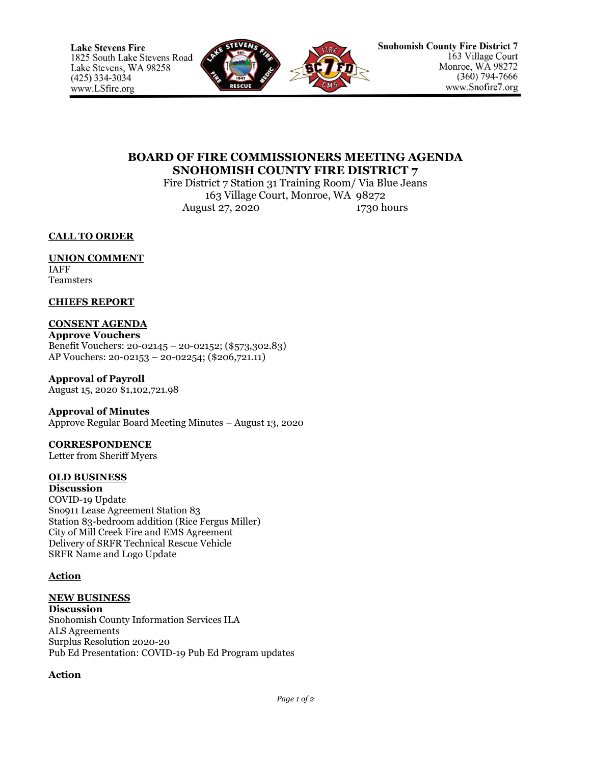

## **BOARD OF FIRE COMMISSIONERS MEETING AGENDA SNOHOMISH COUNTY FIRE DISTRICT 7**

Fire District 7 Station 31 Training Room/ Via Blue Jeans 163 Village Court, Monroe, WA 98272 August 27, 2020 1730 hours

**CALL TO ORDER**

# **UNION COMMENT**

IAFF **Teamsters** 

### **CHIEFS REPORT**

## **CONSENT AGENDA**

**Approve Vouchers** Benefit Vouchers: 20-02145 – 20-02152; (\$573,302.83) AP Vouchers: 20-02153 – 20-02254; (\$206,721.11)

**Approval of Payroll** August 15, 2020 \$1,102,721.98

#### **Approval of Minutes**

Approve Regular Board Meeting Minutes – August 13, 2020

## **CORRESPONDENCE**

Letter from Sheriff Myers

## **OLD BUSINESS**

**Discussion** COVID-19 Update Sno911 Lease Agreement Station 83 Station 83-bedroom addition (Rice Fergus Miller) City of Mill Creek Fire and EMS Agreement Delivery of SRFR Technical Rescue Vehicle SRFR Name and Logo Update

#### **Action**

## **NEW BUSINESS**

**Discussion** Snohomish County Information Services ILA ALS Agreements Surplus Resolution 2020-20 Pub Ed Presentation: COVID-19 Pub Ed Program updates

## **Action**